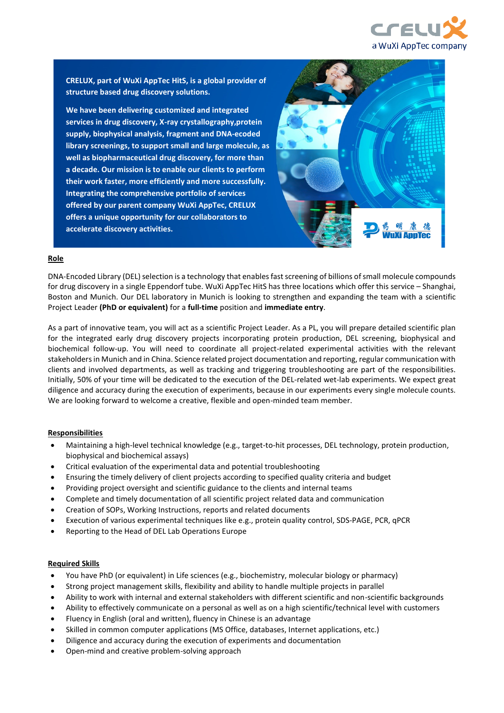

**CRELUX, part of WuXi AppTec HitS, is a global provider of structure based drug discovery solutions.**

**We have been delivering customized and integrated services in drug discovery, X-ray crystallography,protein supply, biophysical analysis, fragment and DNA-ecoded library screenings, to support small and large molecule, as well as biopharmaceutical drug discovery, for more than a decade. Our mission is to enable our clients to perform their work faster, more efficiently and more successfully. Integrating the comprehensive portfolio of services offered by our parent company WuXi AppTec, CRELUX offers a unique opportunity for our collaborators to accelerate discovery activities.**



#### **Role**

DNA-Encoded Library (DEL) selection is a technology that enables fast screening of billions of small molecule compounds for drug discovery in a single Eppendorf tube. WuXi AppTec HitS has three locations which offer this service – Shanghai, Boston and Munich. Our DEL laboratory in Munich is looking to strengthen and expanding the team with a scientific Project Leader **(PhD or equivalent)** for a **full-time** position and **immediate entry**.

As a part of innovative team, you will act as a scientific Project Leader. As a PL, you will prepare detailed scientific plan for the integrated early drug discovery projects incorporating protein production, DEL screening, biophysical and biochemical follow-up. You will need to coordinate all project-related experimental activities with the relevant stakeholders in Munich and in China. Science related project documentation and reporting, regular communication with clients and involved departments, as well as tracking and triggering troubleshooting are part of the responsibilities. Initially, 50% of your time will be dedicated to the execution of the DEL-related wet-lab experiments. We expect great diligence and accuracy during the execution of experiments, because in our experiments every single molecule counts. We are looking forward to welcome a creative, flexible and open-minded team member.

#### **Responsibilities**

- Maintaining a high-level technical knowledge (e.g., target-to-hit processes, DEL technology, protein production, biophysical and biochemical assays)
- Critical evaluation of the experimental data and potential troubleshooting
- Ensuring the timely delivery of client projects according to specified quality criteria and budget
- Providing project oversight and scientific guidance to the clients and internal teams
- Complete and timely documentation of all scientific project related data and communication
- Creation of SOPs, Working Instructions, reports and related documents
- Execution of various experimental techniques like e.g., protein quality control, SDS-PAGE, PCR, qPCR
- Reporting to the Head of DEL Lab Operations Europe

### **Required Skills**

- You have PhD (or equivalent) in Life sciences (e.g., biochemistry, molecular biology or pharmacy)
- Strong project management skills, flexibility and ability to handle multiple projects in parallel
- Ability to work with internal and external stakeholders with different scientific and non-scientific backgrounds
- Ability to effectively communicate on a personal as well as on a high scientific/technical level with customers
- Fluency in English (oral and written), fluency in Chinese is an advantage
- Skilled in common computer applications (MS Office, databases, Internet applications, etc.)
- Diligence and accuracy during the execution of experiments and documentation
- Open-mind and creative problem-solving approach